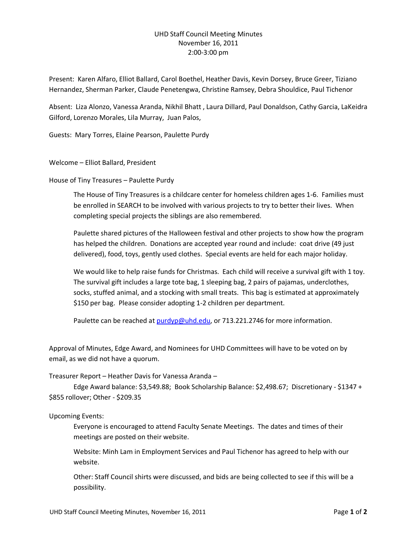# UHD Staff Council Meeting Minutes November 16, 2011 2:00-3:00 pm

Present: Karen Alfaro, Elliot Ballard, Carol Boethel, Heather Davis, Kevin Dorsey, Bruce Greer, Tiziano Hernandez, Sherman Parker, Claude Penetengwa, Christine Ramsey, Debra Shouldice, Paul Tichenor

Absent: Liza Alonzo, Vanessa Aranda, Nikhil Bhatt , Laura Dillard, Paul Donaldson, Cathy Garcia, LaKeidra Gilford, Lorenzo Morales, Lila Murray, Juan Palos,

Guests: Mary Torres, Elaine Pearson, Paulette Purdy

Welcome – Elliot Ballard, President

House of Tiny Treasures – Paulette Purdy

The House of Tiny Treasures is a childcare center for homeless children ages 1-6. Families must be enrolled in SEARCH to be involved with various projects to try to better their lives. When completing special projects the siblings are also remembered.

Paulette shared pictures of the Halloween festival and other projects to show how the program has helped the children. Donations are accepted year round and include: coat drive (49 just delivered), food, toys, gently used clothes. Special events are held for each major holiday.

We would like to help raise funds for Christmas. Each child will receive a survival gift with 1 toy. The survival gift includes a large tote bag, 1 sleeping bag, 2 pairs of pajamas, underclothes, socks, stuffed animal, and a stocking with small treats. This bag is estimated at approximately \$150 per bag. Please consider adopting 1-2 children per department.

Paulette can be reached at [purdyp@uhd.edu,](mailto:purdyp@uhd.edu) or 713.221.2746 for more information.

Approval of Minutes, Edge Award, and Nominees for UHD Committees will have to be voted on by email, as we did not have a quorum.

## Treasurer Report – Heather Davis for Vanessa Aranda –

Edge Award balance: \$3,549.88; Book Scholarship Balance: \$2,498.67; Discretionary - \$1347 + \$855 rollover; Other - \$209.35

## Upcoming Events:

Everyone is encouraged to attend Faculty Senate Meetings. The dates and times of their meetings are posted on their website.

Website: Minh Lam in Employment Services and Paul Tichenor has agreed to help with our website.

Other: Staff Council shirts were discussed, and bids are being collected to see if this will be a possibility.